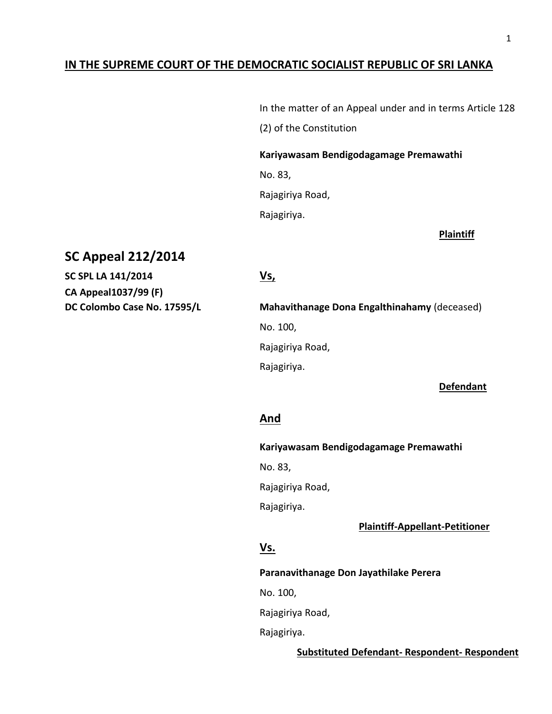# **IN THE SUPREME COURT OF THE DEMOCRATIC SOCIALIST REPUBLIC OF SRI LANKA**

In the matter of an Appeal under and in terms Article 128 (2) of the Constitution

**Kariyawasam Bendigodagamage Premawathi** 

No. 83,

Rajagiriya Road,

Rajagiriya.

**Plaintiff**

# **SC Appeal 212/2014**

**SC SPL LA 141/2014 Vs, CA Appeal1037/99 (F)**

**DC Colombo Case No. 17595/L Mahavithanage Dona Engalthinahamy** (deceased) No. 100, Rajagiriya Road, Rajagiriya.

 **Defendant**

# **And**

**Kariyawasam Bendigodagamage Premawathi** 

No. 83,

Rajagiriya Road,

Rajagiriya.

 **Plaintiff-Appellant-Petitioner**

# **Vs.**

**Paranavithanage Don Jayathilake Perera**

No. 100,

Rajagiriya Road,

Rajagiriya.

**Substituted Defendant- Respondent- Respondent**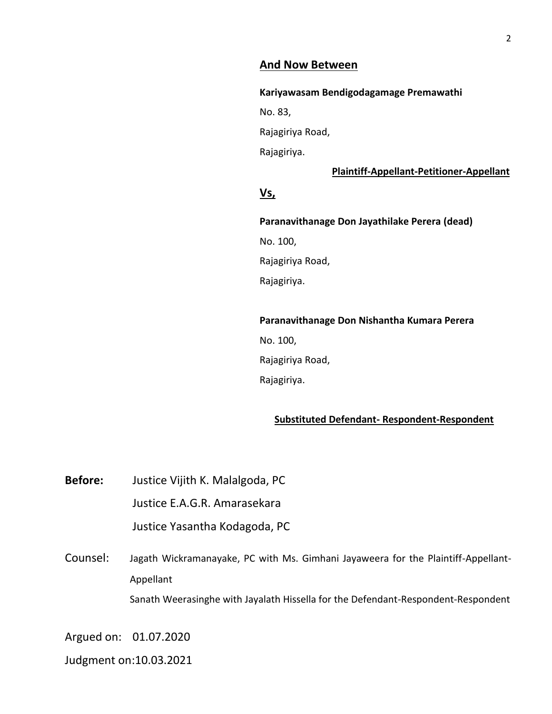### **And Now Between**

**Kariyawasam Bendigodagamage Premawathi** 

No. 83,

Rajagiriya Road,

Rajagiriya.

#### **Plaintiff-Appellant-Petitioner-Appellant**

# **Vs,**

**Paranavithanage Don Jayathilake Perera (dead)** No. 100, Rajagiriya Road, Rajagiriya.

#### **Paranavithanage Don Nishantha Kumara Perera**

No. 100, Rajagiriya Road, Rajagiriya.

# **Substituted Defendant- Respondent-Respondent**

**Before:** Justice Vijith K. Malalgoda, PC Justice E.A.G.R. Amarasekara Justice Yasantha Kodagoda, PC

Counsel: Jagath Wickramanayake, PC with Ms. Gimhani Jayaweera for the Plaintiff-Appellant-Appellant Sanath Weerasinghe with Jayalath Hissella for the Defendant-Respondent-Respondent

Argued on: 01.07.2020

Judgment on:10.03.2021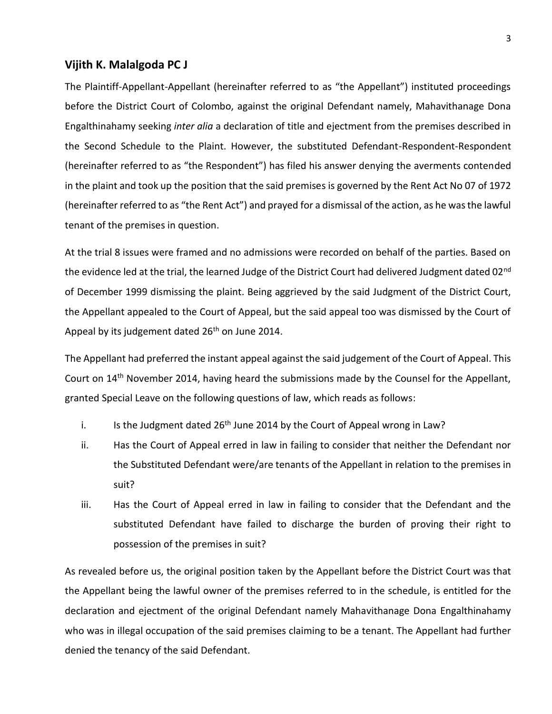#### **Vijith K. Malalgoda PC J**

The Plaintiff-Appellant-Appellant (hereinafter referred to as "the Appellant") instituted proceedings before the District Court of Colombo, against the original Defendant namely, Mahavithanage Dona Engalthinahamy seeking *inter alia* a declaration of title and ejectment from the premises described in the Second Schedule to the Plaint. However, the substituted Defendant-Respondent-Respondent (hereinafter referred to as "the Respondent") has filed his answer denying the averments contended in the plaint and took up the position that the said premises is governed by the Rent Act No 07 of 1972 (hereinafter referred to as "the Rent Act") and prayed for a dismissal of the action, as he was the lawful tenant of the premises in question.

At the trial 8 issues were framed and no admissions were recorded on behalf of the parties. Based on the evidence led at the trial, the learned Judge of the District Court had delivered Judgment dated 02<sup>nd</sup> of December 1999 dismissing the plaint. Being aggrieved by the said Judgment of the District Court, the Appellant appealed to the Court of Appeal, but the said appeal too was dismissed by the Court of Appeal by its judgement dated  $26<sup>th</sup>$  on June 2014.

The Appellant had preferred the instant appeal against the said judgement of the Court of Appeal. This Court on 14th November 2014, having heard the submissions made by the Counsel for the Appellant, granted Special Leave on the following questions of law, which reads as follows:

- i. Is the Judgment dated  $26<sup>th</sup>$  June 2014 by the Court of Appeal wrong in Law?
- ii. Has the Court of Appeal erred in law in failing to consider that neither the Defendant nor the Substituted Defendant were/are tenants of the Appellant in relation to the premises in suit?
- iii. Has the Court of Appeal erred in law in failing to consider that the Defendant and the substituted Defendant have failed to discharge the burden of proving their right to possession of the premises in suit?

As revealed before us, the original position taken by the Appellant before the District Court was that the Appellant being the lawful owner of the premises referred to in the schedule, is entitled for the declaration and ejectment of the original Defendant namely Mahavithanage Dona Engalthinahamy who was in illegal occupation of the said premises claiming to be a tenant. The Appellant had further denied the tenancy of the said Defendant.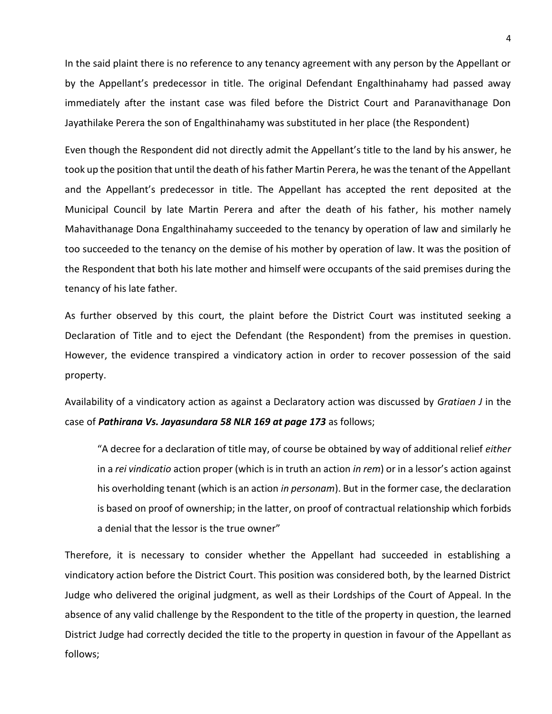In the said plaint there is no reference to any tenancy agreement with any person by the Appellant or by the Appellant's predecessor in title. The original Defendant Engalthinahamy had passed away immediately after the instant case was filed before the District Court and Paranavithanage Don Jayathilake Perera the son of Engalthinahamy was substituted in her place (the Respondent)

Even though the Respondent did not directly admit the Appellant's title to the land by his answer, he took up the position that until the death of his father Martin Perera, he was the tenant of the Appellant and the Appellant's predecessor in title. The Appellant has accepted the rent deposited at the Municipal Council by late Martin Perera and after the death of his father, his mother namely Mahavithanage Dona Engalthinahamy succeeded to the tenancy by operation of law and similarly he too succeeded to the tenancy on the demise of his mother by operation of law. It was the position of the Respondent that both his late mother and himself were occupants of the said premises during the tenancy of his late father.

As further observed by this court, the plaint before the District Court was instituted seeking a Declaration of Title and to eject the Defendant (the Respondent) from the premises in question. However, the evidence transpired a vindicatory action in order to recover possession of the said property.

Availability of a vindicatory action as against a Declaratory action was discussed by *Gratiaen J* in the case of *Pathirana Vs. Jayasundara 58 NLR 169 at page 173* as follows;

"A decree for a declaration of title may, of course be obtained by way of additional relief *either* in a *rei vindicatio* action proper (which is in truth an action *in rem*) or in a lessor's action against his overholding tenant (which is an action *in personam*). But in the former case, the declaration is based on proof of ownership; in the latter, on proof of contractual relationship which forbids a denial that the lessor is the true owner"

Therefore, it is necessary to consider whether the Appellant had succeeded in establishing a vindicatory action before the District Court. This position was considered both, by the learned District Judge who delivered the original judgment, as well as their Lordships of the Court of Appeal. In the absence of any valid challenge by the Respondent to the title of the property in question, the learned District Judge had correctly decided the title to the property in question in favour of the Appellant as follows;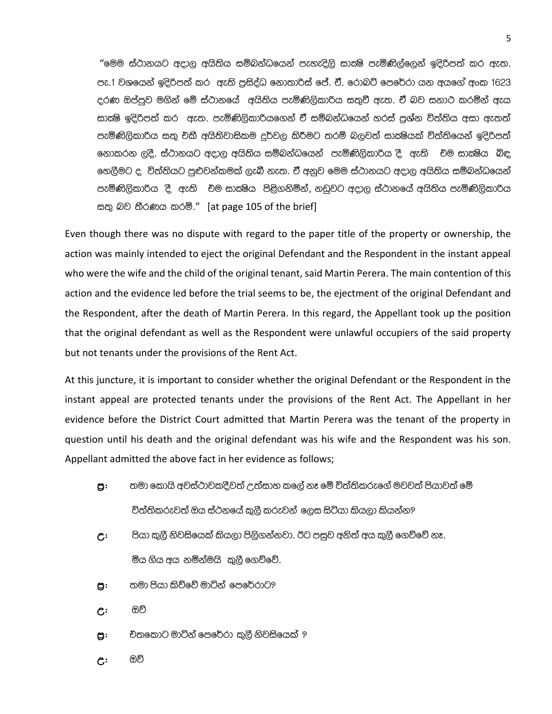"මෙම ස්ථානයට අදාල අයිතිය සම්බන්ධයෙන් පැහැදිලි සාක්ෂි පැමිණිල්ලෙන් ඉදිරිපත් කර ඇත. පැ.1 වශයෙන් ඉදිරිපත් කර ඇති පුසිද්ධ නොතාරිස් පේ. ඒ. රොබට් පෙරේරා යන අයගේ අංක 1623 දරණ ඔප්පුව මගින් මේ ස්ථානයේ අයිතිය පැමිණිලිකාරිය සතුවී ඇත. ඒ බව සනාථ කරමින් ඇය සාකෂි ඉදිරිපත් කර ඇත. පැමිණිලිකාරියගෙන් ඒ සම්බන්ධයෙන් හරස් පුශ්න විත්තිය අසා ඇතත් පැමිණිලිකාරිය සතු චිකී අයිතිවාසිකම දුර්වල කිරීමට තරම් බලවත් සාකෂියක් විත්තියෙන් ඉදිරිපත් නොකරන ලදී. ස්ථානයට අදාල අයිතිය සම්බන්ධයෙන් පැමිණිලිකාරිය දී ඇති එම සාකෂිය බිඳ හෙලීමට ද, විත්තියට පුළුවන්කමක් ලැබී නැත. ඒ් අනුව මෙම ස්ථානයට අදාල අයිතිය සම්බන්ධයෙන් පැමිණිලිකාරිය දී. ඇති චිම සාක්ෂිය පිළිගනිමින්, නඩුවට අදාල ස්ථානයේ අයිතිය පැමිණිලිකාරිය සතු බව තීරණය කරමි." [at page 105 of the brief]

Even though there was no dispute with regard to the paper title of the property or ownership, the action was mainly intended to eject the original Defendant and the Respondent in the instant appeal who were the wife and the child of the original tenant, said Martin Perera. The main contention of this action and the evidence led before the trial seems to be, the ejectment of the original Defendant and the Respondent, after the death of Martin Perera. In this regard, the Appellant took up the position that the original defendant as well as the Respondent were unlawful occupiers of the said property but not tenants under the provisions of the Rent Act.

At this juncture, it is important to consider whether the original Defendant or the Respondent in the instant appeal are protected tenants under the provisions of the Rent Act. The Appellant in her evidence before the District Court admitted that Martin Perera was the tenant of the property in question until his death and the original defendant was his wife and the Respondent was his son. Appellant admitted the above fact in her evidence as follows;

- තමා කොයි අවස්ථාවකදීවත් උත්සාහ කලේ නෑ මේ විත්තිකරුගේ මවවත් පියාවත් මේ g: විත්තිකරුවත් ඔය ස්ථනයේ කුලී කරුවන් ලෙස සිටියා කියලා කියන්න?
- පියා කුලී නිවසියෙක් කියලා පිලිගන්නවා. ඊට පසුව අනිත් අය කුලී ගෙව්වේ නෑ.  $\mathsf{C}^{\mathsf{:}}$ මිය ගිය අය නමින්මයි කුලී ගෙව්වේ.
- තමා පියා කිව්වේ මාටින් පෙරේරාට? g:
- ඔව්  $\mathcal{C}$
- චිතකොට මාටින් පෙරේරා කුලී නිවසියෙක් ? g:
- ඔව්  $\mathsf{C}^{\mathsf{:}}$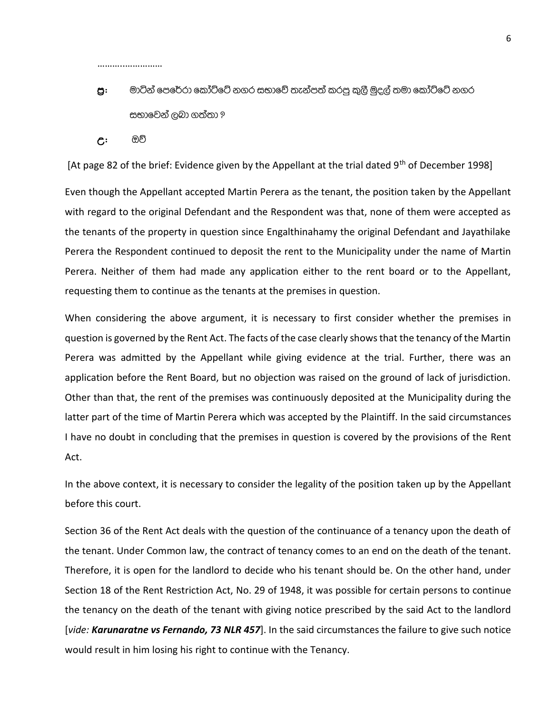……………………………

# $g$ : මාටින් පෙරේරා කෝට්ටේ නගර සභාවේ තැන්පත් කරපු කුලී මුදල් තමා කෝට්ටේ නගර සභාවෙන් ලබා ගත්තා ?

**උ: ඔ**ව්

[At page 82 of the brief: Evidence given by the Appellant at the trial dated  $9<sup>th</sup>$  of December 1998]

Even though the Appellant accepted Martin Perera as the tenant, the position taken by the Appellant with regard to the original Defendant and the Respondent was that, none of them were accepted as the tenants of the property in question since Engalthinahamy the original Defendant and Jayathilake Perera the Respondent continued to deposit the rent to the Municipality under the name of Martin Perera. Neither of them had made any application either to the rent board or to the Appellant, requesting them to continue as the tenants at the premises in question.

When considering the above argument, it is necessary to first consider whether the premises in question is governed by the Rent Act. The facts of the case clearly shows that the tenancy of the Martin Perera was admitted by the Appellant while giving evidence at the trial. Further, there was an application before the Rent Board, but no objection was raised on the ground of lack of jurisdiction. Other than that, the rent of the premises was continuously deposited at the Municipality during the latter part of the time of Martin Perera which was accepted by the Plaintiff. In the said circumstances I have no doubt in concluding that the premises in question is covered by the provisions of the Rent Act.

In the above context, it is necessary to consider the legality of the position taken up by the Appellant before this court.

Section 36 of the Rent Act deals with the question of the continuance of a tenancy upon the death of the tenant. Under Common law, the contract of tenancy comes to an end on the death of the tenant. Therefore, it is open for the landlord to decide who his tenant should be. On the other hand, under Section 18 of the Rent Restriction Act, No. 29 of 1948, it was possible for certain persons to continue the tenancy on the death of the tenant with giving notice prescribed by the said Act to the landlord [*vide: Karunaratne vs Fernando, 73 NLR 457*]. In the said circumstances the failure to give such notice would result in him losing his right to continue with the Tenancy.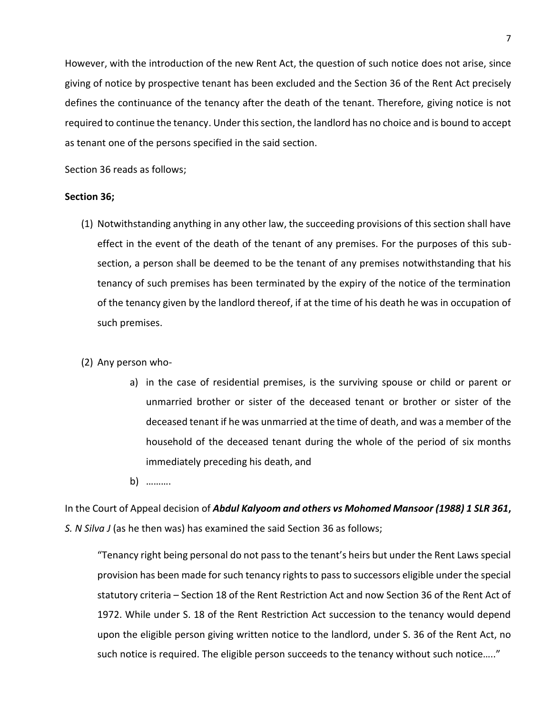However, with the introduction of the new Rent Act, the question of such notice does not arise, since giving of notice by prospective tenant has been excluded and the Section 36 of the Rent Act precisely defines the continuance of the tenancy after the death of the tenant. Therefore, giving notice is not required to continue the tenancy. Under this section, the landlord has no choice and is bound to accept as tenant one of the persons specified in the said section.

Section 36 reads as follows;

#### **Section 36;**

- (1) Notwithstanding anything in any other law, the succeeding provisions of this section shall have effect in the event of the death of the tenant of any premises. For the purposes of this subsection, a person shall be deemed to be the tenant of any premises notwithstanding that his tenancy of such premises has been terminated by the expiry of the notice of the termination of the tenancy given by the landlord thereof, if at the time of his death he was in occupation of such premises.
- (2) Any person who
	- a) in the case of residential premises, is the surviving spouse or child or parent or unmarried brother or sister of the deceased tenant or brother or sister of the deceased tenant if he was unmarried at the time of death, and was a member of the household of the deceased tenant during the whole of the period of six months immediately preceding his death, and
	- b) ……….

In the Court of Appeal decision of *Abdul Kalyoom and others vs Mohomed Mansoor (1988) 1 SLR 361***,** *S. N Silva J* (as he then was) has examined the said Section 36 as follows;

"Tenancy right being personal do not pass to the tenant's heirs but under the Rent Laws special provision has been made for such tenancy rights to pass to successors eligible under the special statutory criteria – Section 18 of the Rent Restriction Act and now Section 36 of the Rent Act of 1972. While under S. 18 of the Rent Restriction Act succession to the tenancy would depend upon the eligible person giving written notice to the landlord, under S. 36 of the Rent Act, no such notice is required. The eligible person succeeds to the tenancy without such notice….."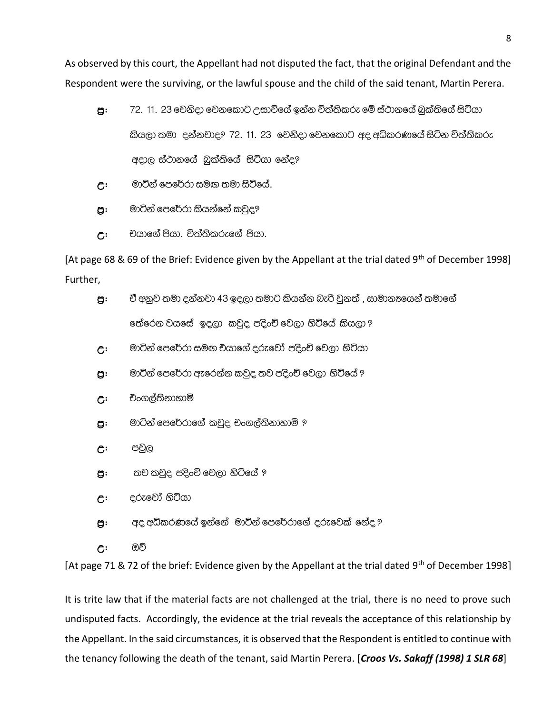As observed by this court, the Appellant had not disputed the fact, that the original Defendant and the Respondent were the surviving, or the lawful spouse and the child of the said tenant, Martin Perera.

- $g$ : 72. 11. 23 වෙනිදා වෙනකොට උසාවියේ ඉන්න විත්තිකරු මේ ස්ථානයේ බුක්තියේ සිටියා කියලා තමා දන්නවාද? 72, 11, 23 වෙනිදා වෙනකොට අද අධිකරණයේ සිටින විත්තිකරු අදාල ස්ථානයේ බුක්තියේ සිටියා නේද?
- $c$ : මාටින් පෙරේරා සමඟ තමා සිටියේ.
- $g$ : මාටින් පෙරේරා කියන්නේ කවුද?
- $c$ : එයාගේ පියා. විත්තිකරුගේ පියා.

[At page 68 & 69 of the Brief: Evidence given by the Appellant at the trial dated 9<sup>th</sup> of December 1998] Further,

- $g$ :  $\vec{c}$ ී අනුව තමා දන්නවා 43 ඉදලා තමාට කියන්න බැරි වුනත් , සාමාන $x$ යෙන් තමාගේ තේරෙන වයසේ ඉදලා කවුද පදිංචි වෙලා හිටියේ කියලා <u>ඉ</u>
- $c$ : මාටින් පෙරේරා සමඟ එයාගේ දරුවෝ පදිංචි වෙලා හිටියා
- $g$ : මාටින් පෙරේරා ඇරෙන්න කවුද තව පදිංචි වෙලා හිටියේ ?
- $c$  පිංගල්තිනාහාමි
- $g$ : මාටින් පෙරේරාගේ කවුද චංගල්තිනාහාමි ?
- උ: පවුල
- ප: තව කවුද පදිංචි වෙලා හිටියේ ?
- $c$   $\epsilon$ රුවෝ හිටියා
- $g$ :  $q$ ද අධිකරණයේ ඉන්නේ මාට්න් පෙරේරාගේ දරුවෙක් නේද ?
- උ: ඔව්

[At page 71 & 72 of the brief: Evidence given by the Appellant at the trial dated 9<sup>th</sup> of December 1998]

It is trite law that if the material facts are not challenged at the trial, there is no need to prove such undisputed facts. Accordingly, the evidence at the trial reveals the acceptance of this relationship by the Appellant. In the said circumstances, it is observed that the Respondent is entitled to continue with the tenancy following the death of the tenant, said Martin Perera. [*Croos Vs. Sakaff (1998) 1 SLR 68*]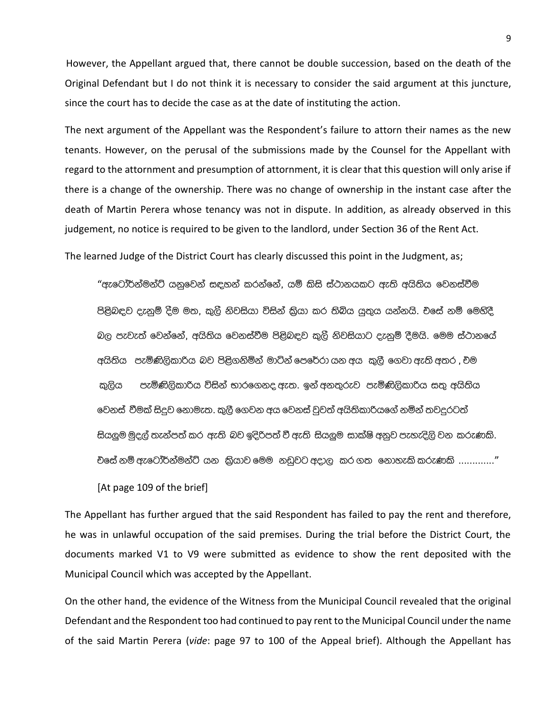However, the Appellant argued that, there cannot be double succession, based on the death of the Original Defendant but I do not think it is necessary to consider the said argument at this juncture, since the court has to decide the case as at the date of instituting the action.

The next argument of the Appellant was the Respondent's failure to attorn their names as the new tenants. However, on the perusal of the submissions made by the Counsel for the Appellant with regard to the attornment and presumption of attornment, it is clear that this question will only arise if there is a change of the ownership. There was no change of ownership in the instant case after the death of Martin Perera whose tenancy was not in dispute. In addition, as already observed in this judgement, no notice is required to be given to the landlord, under Section 36 of the Rent Act.

The learned Judge of the District Court has clearly discussed this point in the Judgment, as;

"ඇටෝර්න්මන්ට් යනුවෙන් සඳහන් කරන්නේ. යම් කිසි ස්ථානයකට ඇති අයිතිය වෙනස්වීම පිළිබඳව දැනුම් දීම මත, කුලී නිවසියා විසින් කුියා කර තිබිය යුතුය යන්නයි. චිසේ නම් මෙහිදී බල පැවැත් වෙන්නේ, අයිතිය වෙනස්වීම පිළිබඳව කුලී නිවසියාට දැනුම් දීමයි. මෙම ස්ථානයේ අයිතිය පැමිණිලිකාරිය බව පිළිගනිමින් මාට්න් පෙරේරා යන අය කුලී ගෙවා ඇති අතර , එම කුලිය පැමිණිලිකාරිය විසින් භාරගෙනද ඇත. ඉන් අනතුරුව පැමිණිලිකාරිය සතු අයිතිය වෙනස් වීමක් සිදුව නොමැත. කුලී ගෙවන අය වෙනස් වුවත් අයිතිකාරියගේ නමින් තවදුරටත් සියලුම මුදල් තැන්පත් කර ඇති බව ඉදිරිපත් වී ඇති සියලුම සාක්ෂි අනුව පැහැදිලි වන කරුණකි. චිසේ නම් ඇටෝර්න්මන්ට් යන කිුයාව මෙම නඩුවට අදාල කර ගත නොහැකි කරුණකි ............."

[At page 109 of the brief]

The Appellant has further argued that the said Respondent has failed to pay the rent and therefore, he was in unlawful occupation of the said premises. During the trial before the District Court, the documents marked V1 to V9 were submitted as evidence to show the rent deposited with the Municipal Council which was accepted by the Appellant.

On the other hand, the evidence of the Witness from the Municipal Council revealed that the original Defendant and the Respondent too had continued to pay rent to the Municipal Council under the name of the said Martin Perera (vide: page 97 to 100 of the Appeal brief). Although the Appellant has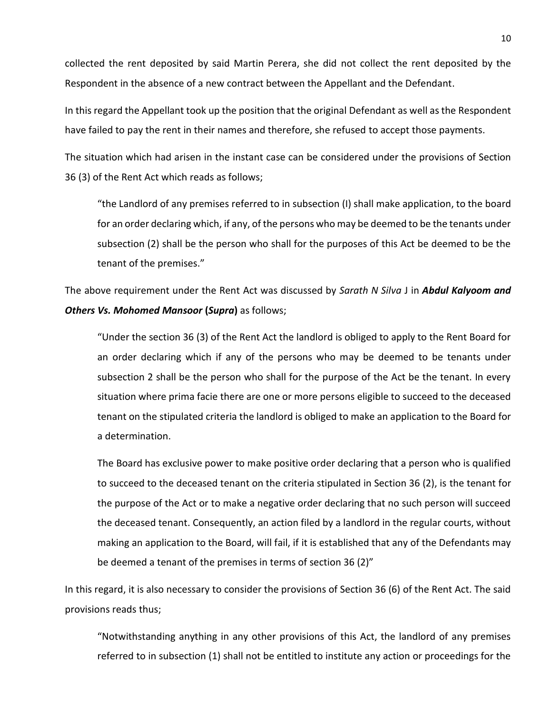collected the rent deposited by said Martin Perera, she did not collect the rent deposited by the Respondent in the absence of a new contract between the Appellant and the Defendant.

In this regard the Appellant took up the position that the original Defendant as well as the Respondent have failed to pay the rent in their names and therefore, she refused to accept those payments.

The situation which had arisen in the instant case can be considered under the provisions of Section 36 (3) of the Rent Act which reads as follows;

"the Landlord of any premises referred to in subsection (I) shall make application, to the board for an order declaring which, if any, of the persons who may be deemed to be the tenants under subsection (2) shall be the person who shall for the purposes of this Act be deemed to be the tenant of the premises."

The above requirement under the Rent Act was discussed by *Sarath N Silva* J in *Abdul Kalyoom and Others Vs. Mohomed Mansoor* **(***Supra***)** as follows;

"Under the section 36 (3) of the Rent Act the landlord is obliged to apply to the Rent Board for an order declaring which if any of the persons who may be deemed to be tenants under subsection 2 shall be the person who shall for the purpose of the Act be the tenant. In every situation where prima facie there are one or more persons eligible to succeed to the deceased tenant on the stipulated criteria the landlord is obliged to make an application to the Board for a determination.

The Board has exclusive power to make positive order declaring that a person who is qualified to succeed to the deceased tenant on the criteria stipulated in Section 36 (2), is the tenant for the purpose of the Act or to make a negative order declaring that no such person will succeed the deceased tenant. Consequently, an action filed by a landlord in the regular courts, without making an application to the Board, will fail, if it is established that any of the Defendants may be deemed a tenant of the premises in terms of section 36 (2)"

In this regard, it is also necessary to consider the provisions of Section 36 (6) of the Rent Act. The said provisions reads thus;

"Notwithstanding anything in any other provisions of this Act, the landlord of any premises referred to in subsection (1) shall not be entitled to institute any action or proceedings for the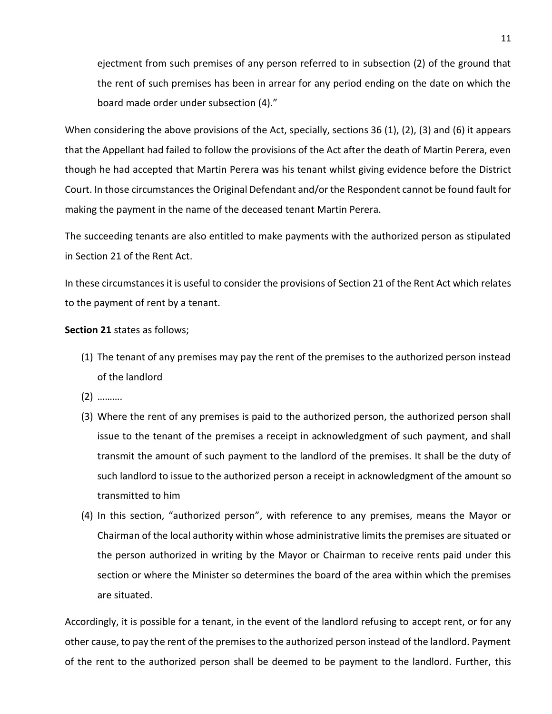ejectment from such premises of any person referred to in subsection (2) of the ground that the rent of such premises has been in arrear for any period ending on the date on which the board made order under subsection (4)."

When considering the above provisions of the Act, specially, sections 36 (1), (2), (3) and (6) it appears that the Appellant had failed to follow the provisions of the Act after the death of Martin Perera, even though he had accepted that Martin Perera was his tenant whilst giving evidence before the District Court. In those circumstances the Original Defendant and/or the Respondent cannot be found fault for making the payment in the name of the deceased tenant Martin Perera.

The succeeding tenants are also entitled to make payments with the authorized person as stipulated in Section 21 of the Rent Act.

In these circumstances it is useful to consider the provisions of Section 21 of the Rent Act which relates to the payment of rent by a tenant.

**Section 21** states as follows;

- (1) The tenant of any premises may pay the rent of the premises to the authorized person instead of the landlord
- (2) ……….
- (3) Where the rent of any premises is paid to the authorized person, the authorized person shall issue to the tenant of the premises a receipt in acknowledgment of such payment, and shall transmit the amount of such payment to the landlord of the premises. It shall be the duty of such landlord to issue to the authorized person a receipt in acknowledgment of the amount so transmitted to him
- (4) In this section, "authorized person", with reference to any premises, means the Mayor or Chairman of the local authority within whose administrative limits the premises are situated or the person authorized in writing by the Mayor or Chairman to receive rents paid under this section or where the Minister so determines the board of the area within which the premises are situated.

Accordingly, it is possible for a tenant, in the event of the landlord refusing to accept rent, or for any other cause, to pay the rent of the premises to the authorized person instead of the landlord. Payment of the rent to the authorized person shall be deemed to be payment to the landlord. Further, this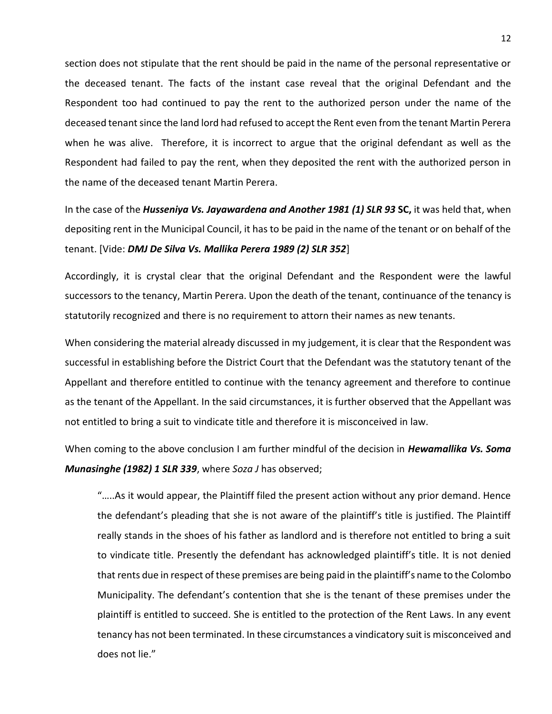section does not stipulate that the rent should be paid in the name of the personal representative or the deceased tenant. The facts of the instant case reveal that the original Defendant and the Respondent too had continued to pay the rent to the authorized person under the name of the deceased tenant since the land lord had refused to accept the Rent even from the tenant Martin Perera when he was alive. Therefore, it is incorrect to argue that the original defendant as well as the Respondent had failed to pay the rent, when they deposited the rent with the authorized person in the name of the deceased tenant Martin Perera.

In the case of the *Husseniya Vs. Jayawardena and Another 1981 (1) SLR 93* **SC,** it was held that, when depositing rent in the Municipal Council, it has to be paid in the name of the tenant or on behalf of the tenant. [Vide: *DMJ De Silva Vs. Mallika Perera 1989 (2) SLR 352*]

Accordingly, it is crystal clear that the original Defendant and the Respondent were the lawful successors to the tenancy, Martin Perera. Upon the death of the tenant, continuance of the tenancy is statutorily recognized and there is no requirement to attorn their names as new tenants.

When considering the material already discussed in my judgement, it is clear that the Respondent was successful in establishing before the District Court that the Defendant was the statutory tenant of the Appellant and therefore entitled to continue with the tenancy agreement and therefore to continue as the tenant of the Appellant. In the said circumstances, it is further observed that the Appellant was not entitled to bring a suit to vindicate title and therefore it is misconceived in law.

When coming to the above conclusion I am further mindful of the decision in *Hewamallika Vs. Soma Munasinghe (1982) 1 SLR 339*, where *Soza J* has observed;

"…..As it would appear, the Plaintiff filed the present action without any prior demand. Hence the defendant's pleading that she is not aware of the plaintiff's title is justified. The Plaintiff really stands in the shoes of his father as landlord and is therefore not entitled to bring a suit to vindicate title. Presently the defendant has acknowledged plaintiff's title. It is not denied that rents due in respect of these premises are being paid in the plaintiff's name to the Colombo Municipality. The defendant's contention that she is the tenant of these premises under the plaintiff is entitled to succeed. She is entitled to the protection of the Rent Laws. In any event tenancy has not been terminated. In these circumstances a vindicatory suit is misconceived and does not lie."